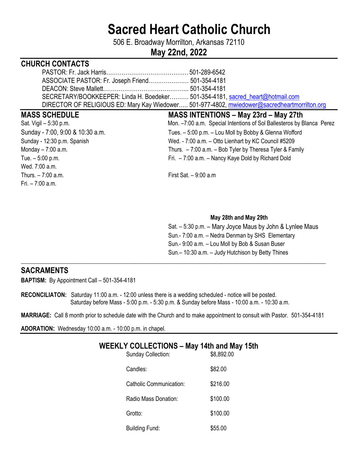# **Sacred Heart Catholic Church**

506 E. Broadway Morrilton, Arkansas 72110

# **May 22nd, 2022**

# **CHURCH CONTACTS**

| SECRETARY/BOOKKEEPER: Linda H. Boedeker 501-354-4181, sacred_heart@hotmail.com               |  |
|----------------------------------------------------------------------------------------------|--|
| DIRECTOR OF RELIGIOUS ED: Mary Kay Wiedower 501-977-4802, mwiedower@sacredheartmorrilton.org |  |

- Wed. 7:00 a.m.  $Thus, -7:00$  a.m. First Sat.  $-9:00$  a.m. Fri. – 7:00 a.m.
- **MASS SCHEDULE MASS INTENTIONS May 23rd May 27th**  Sat. Vigil – 5:30 p.m. mon. and Mon. –7:00 a.m. Special Intentions of Sol Ballesteros by Blanca Perez Sunday - 7:00, 9:00 & 10:30 a.m. Tues. – 5:00 p.m. – Lou Moll by Bobby & Glenna Wofford Sunday - 12:30 p.m. Spanish Wed. - 7:00 a.m. – Otto Lienhart by KC Council #5209 Monday – 7:00 a.m. Thurs. – 7:00 a.m. – Bob Tyler by Theresa Tyler & Family Tue. – 5:00 p.m. Fri. – 7:00 a.m. – Nancy Kaye Dold by Richard Dold

#### **May 28th and May 29th**

 Sat. – 5:30 p.m. – Mary Joyce Maus by John & Lynlee Maus Sun.- 7:00 a.m. – Nedra Denman by SHS Elementary Sun.- 9:00 a.m. – Lou Moll by Bob & Susan Buser Sun.– 10:30 a.m. – Judy Hutchison by Betty Thines

### **SACRAMENTS**

**BAPTISM:** By Appointment Call – 501-354-4181

**RECONCILIATON:** Saturday 11:00 a.m. - 12:00 unless there is a wedding scheduled - notice will be posted. Saturday before Mass - 5:00 p.m. - 5:30 p.m. & Sunday before Mass - 10:00 a.m. - 10:30 a.m.

**MARRIAGE:** Call 8 month prior to schedule date with the Church and to make appointment to consult with Pastor. 501-354-4181

\_\_\_\_**\_\_\_\_\_\_\_\_\_\_\_\_\_\_\_\_\_\_\_\_\_\_\_\_\_\_\_\_\_\_\_\_\_\_\_\_\_\_\_\_\_\_\_\_\_\_\_\_\_\_\_\_\_\_\_\_\_\_\_\_\_\_\_\_\_\_\_\_\_\_\_\_\_\_\_\_\_\_\_\_\_\_\_\_\_\_\_\_\_\_\_\_\_\_\_\_\_\_\_\_** 

**ADORATION:** Wednesday 10:00 a.m. - 10:00 p.m. in chapel.

#### WEEKLY COLLECTIONS – May 14th and May 15th Sunday Collection:  $$8,892.00$

| <b>SUITUAY CONCLIQUE</b>       | <b>JO.OSZ.UU</b> |
|--------------------------------|------------------|
| Candles:                       | \$82.00          |
| <b>Catholic Communication:</b> | \$216.00         |
| Radio Mass Donation:           | \$100.00         |
| Grotto:                        | \$100.00         |
| <b>Building Fund:</b>          | \$55.00          |